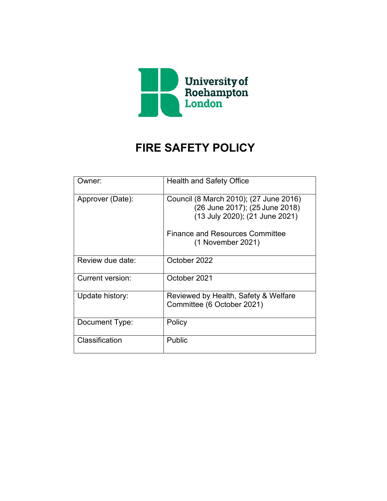

# **FIRE SAFETY POLICY**

| Owner:           | <b>Health and Safety Office</b>                                                                            |
|------------------|------------------------------------------------------------------------------------------------------------|
| Approver (Date): | Council (8 March 2010); (27 June 2016)<br>(26 June 2017); (25 June 2018)<br>(13 July 2020); (21 June 2021) |
|                  | <b>Finance and Resources Committee</b><br>(1 November 2021)                                                |
| Review due date: | October 2022                                                                                               |
| Current version: | October 2021                                                                                               |
| Update history:  | Reviewed by Health, Safety & Welfare<br>Committee (6 October 2021)                                         |
| Document Type:   | Policy                                                                                                     |
| Classification   | Public                                                                                                     |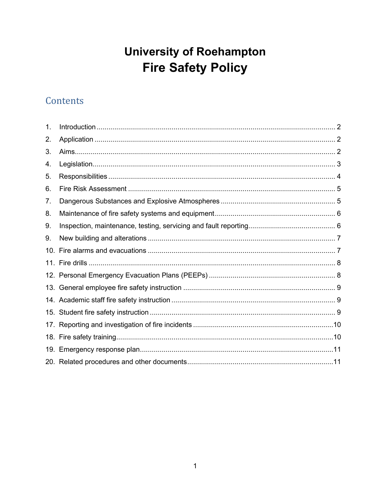# **University of Roehampton Fire Safety Policy**

# Contents

| 1.  |  |
|-----|--|
| 2.  |  |
| 3.  |  |
| 4.  |  |
| 5.  |  |
| 6.  |  |
| 7.  |  |
| 8.  |  |
| 9.  |  |
| 9.  |  |
|     |  |
| 10. |  |
|     |  |
|     |  |
|     |  |
|     |  |
|     |  |
|     |  |
|     |  |
|     |  |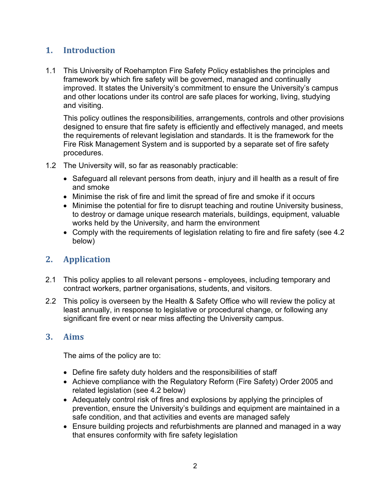# <span id="page-2-0"></span>**1. Introduction**

1.1 This University of Roehampton Fire Safety Policy establishes the principles and framework by which fire safety will be governed, managed and continually improved. It states the University's commitment to ensure the University's campus and other locations under its control are safe places for working, living, studying and visiting.

This policy outlines the responsibilities, arrangements, controls and other provisions designed to ensure that fire safety is efficiently and effectively managed, and meets the requirements of relevant legislation and standards. It is the framework for the Fire Risk Management System and is supported by a separate set of fire safety procedures.

- 1.2 The University will, so far as reasonably practicable:
	- Safeguard all relevant persons from death, injury and ill health as a result of fire and smoke
	- Minimise the risk of fire and limit the spread of fire and smoke if it occurs
	- Minimise the potential for fire to disrupt teaching and routine University business, to destroy or damage unique research materials, buildings, equipment, valuable works held by the University, and harm the environment
	- Comply with the requirements of legislation relating to fire and fire safety (see 4.2 below)

# <span id="page-2-1"></span>**2. Application**

- 2.1 This policy applies to all relevant persons employees, including temporary and contract workers, partner organisations, students, and visitors.
- 2.2 This policy is overseen by the Health & Safety Office who will review the policy at least annually, in response to legislative or procedural change, or following any significant fire event or near miss affecting the University campus.

# <span id="page-2-2"></span>**3. Aims**

The aims of the policy are to:

- Define fire safety duty holders and the responsibilities of staff
- Achieve compliance with the Regulatory Reform (Fire Safety) Order 2005 and related legislation (see 4.2 below)
- Adequately control risk of fires and explosions by applying the principles of prevention, ensure the University's buildings and equipment are maintained in a safe condition, and that activities and events are managed safely
- Ensure building projects and refurbishments are planned and managed in a way that ensures conformity with fire safety legislation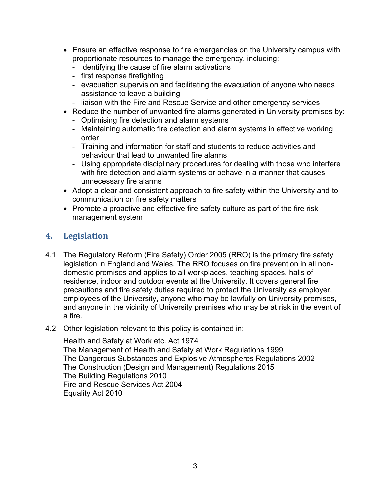- Ensure an effective response to fire emergencies on the University campus with proportionate resources to manage the emergency, including:
	- identifying the cause of fire alarm activations
	- first response firefighting
	- evacuation supervision and facilitating the evacuation of anyone who needs assistance to leave a building
	- liaison with the Fire and Rescue Service and other emergency services
- Reduce the number of unwanted fire alarms generated in University premises by:
	- Optimising fire detection and alarm systems
	- Maintaining automatic fire detection and alarm systems in effective working order
	- Training and information for staff and students to reduce activities and behaviour that lead to unwanted fire alarms
	- Using appropriate disciplinary procedures for dealing with those who interfere with fire detection and alarm systems or behave in a manner that causes unnecessary fire alarms
- Adopt a clear and consistent approach to fire safety within the University and to communication on fire safety matters
- Promote a proactive and effective fire safety culture as part of the fire risk management system

#### <span id="page-3-0"></span>**4. Legislation**

- 4.1 The Regulatory Reform (Fire Safety) Order 2005 (RRO) is the primary fire safety legislation in England and Wales. The RRO focuses on fire prevention in all nondomestic premises and applies to all workplaces, teaching spaces, halls of residence, indoor and outdoor events at the University. It covers general fire precautions and fire safety duties required to protect the University as employer, employees of the University, anyone who may be lawfully on University premises, and anyone in the vicinity of University premises who may be at risk in the event of a fire.
- 4.2 Other legislation relevant to this policy is contained in:

Health and Safety at Work etc. Act 1974 The Management of Health and Safety at Work Regulations 1999 The Dangerous Substances and Explosive Atmospheres Regulations 2002 The Construction (Design and Management) Regulations 2015 The Building Regulations 2010 Fire and Rescue Services Act 2004 Equality Act 2010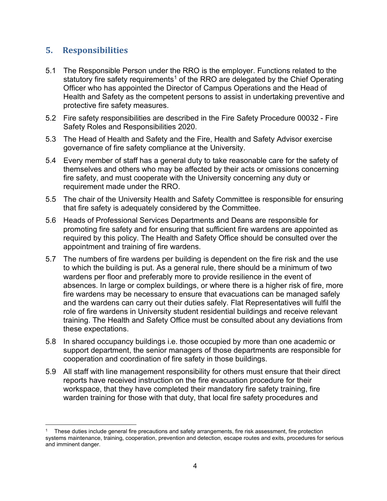# <span id="page-4-0"></span>**5. Responsibilities**

- 5.1 The Responsible Person under the RRO is the employer. Functions related to the statutory fire safety requirements<sup>[1](#page-4-1)</sup> of the RRO are delegated by the Chief Operating Officer who has appointed the Director of Campus Operations and the Head of Health and Safety as the competent persons to assist in undertaking preventive and protective fire safety measures.
- 5.2 Fire safety responsibilities are described in the Fire Safety Procedure 00032 Fire Safety Roles and Responsibilities 2020.
- 5.3 The Head of Health and Safety and the Fire, Health and Safety Advisor exercise governance of fire safety compliance at the University.
- 5.4 Every member of staff has a general duty to take reasonable care for the safety of themselves and others who may be affected by their acts or omissions concerning fire safety, and must cooperate with the University concerning any duty or requirement made under the RRO.
- 5.5 The chair of the University Health and Safety Committee is responsible for ensuring that fire safety is adequately considered by the Committee.
- 5.6 Heads of Professional Services Departments and Deans are responsible for promoting fire safety and for ensuring that sufficient fire wardens are appointed as required by this policy. The Health and Safety Office should be consulted over the appointment and training of fire wardens.
- 5.7 The numbers of fire wardens per building is dependent on the fire risk and the use to which the building is put. As a general rule, there should be a minimum of two wardens per floor and preferably more to provide resilience in the event of absences. In large or complex buildings, or where there is a higher risk of fire, more fire wardens may be necessary to ensure that evacuations can be managed safely and the wardens can carry out their duties safely. Flat Representatives will fulfil the role of fire wardens in University student residential buildings and receive relevant training. The Health and Safety Office must be consulted about any deviations from these expectations.
- 5.8 In shared occupancy buildings i.e. those occupied by more than one academic or support department, the senior managers of those departments are responsible for cooperation and coordination of fire safety in those buildings.
- 5.9 All staff with line management responsibility for others must ensure that their direct reports have received instruction on the fire evacuation procedure for their workspace, that they have completed their mandatory fire safety training, fire warden training for those with that duty, that local fire safety procedures and

<span id="page-4-1"></span><sup>1</sup> These duties include general fire precautions and safety arrangements, fire risk assessment, fire protection systems maintenance, training, cooperation, prevention and detection, escape routes and exits, procedures for serious and imminent danger.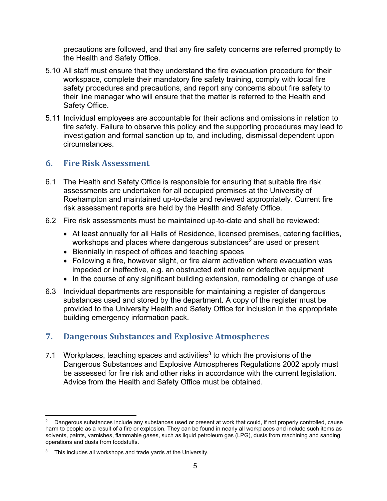precautions are followed, and that any fire safety concerns are referred promptly to the Health and Safety Office.

- 5.10 All staff must ensure that they understand the fire evacuation procedure for their workspace, complete their mandatory fire safety training, comply with local fire safety procedures and precautions, and report any concerns about fire safety to their line manager who will ensure that the matter is referred to the Health and Safety Office.
- 5.11 Individual employees are accountable for their actions and omissions in relation to fire safety. Failure to observe this policy and the supporting procedures may lead to investigation and formal sanction up to, and including, dismissal dependent upon circumstances.

# <span id="page-5-0"></span>**6. Fire Risk Assessment**

- 6.1 The Health and Safety Office is responsible for ensuring that suitable fire risk assessments are undertaken for all occupied premises at the University of Roehampton and maintained up-to-date and reviewed appropriately. Current fire risk assessment reports are held by the Health and Safety Office.
- 6.2 Fire risk assessments must be maintained up-to-date and shall be reviewed:
	- At least annually for all Halls of Residence, licensed premises, catering facilities, workshops and places where dangerous substances<sup>[2](#page-5-2)</sup> are used or present
	- Biennially in respect of offices and teaching spaces
	- Following a fire, however slight, or fire alarm activation where evacuation was impeded or ineffective, e.g. an obstructed exit route or defective equipment
	- In the course of any significant building extension, remodeling or change of use
- 6.3 Individual departments are responsible for maintaining a register of dangerous substances used and stored by the department. A copy of the register must be provided to the University Health and Safety Office for inclusion in the appropriate building emergency information pack.

# <span id="page-5-1"></span>**7. Dangerous Substances and Explosive Atmospheres**

7.1 Workplaces, teaching spaces and activities<sup>[3](#page-5-3)</sup> to which the provisions of the Dangerous Substances and Explosive Atmospheres Regulations 2002 apply must be assessed for fire risk and other risks in accordance with the current legislation. Advice from the Health and Safety Office must be obtained.

<span id="page-5-2"></span> $2$  Dangerous substances include any substances used or present at work that could, if not properly controlled, cause harm to people as a result of a fire or explosion. They can be found in nearly all workplaces and include such items as solvents, paints, varnishes, flammable gases, such as liquid petroleum gas (LPG), dusts from machining and sanding operations and dusts from foodstuffs.

<span id="page-5-3"></span> $3$  This includes all workshops and trade yards at the University.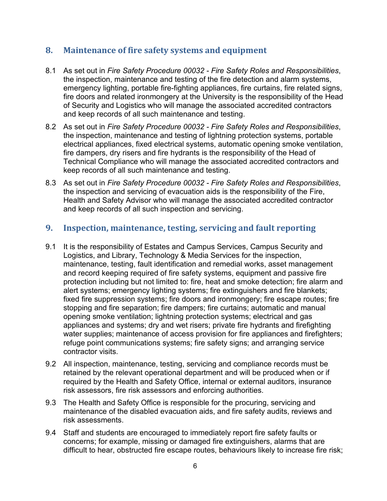#### <span id="page-6-0"></span>**8. Maintenance of fire safety systems and equipment**

- 8.1 As set out in *Fire Safety Procedure 00032 - Fire Safety Roles and Responsibilities*, the inspection, maintenance and testing of the fire detection and alarm systems, emergency lighting, portable fire-fighting appliances, fire curtains, fire related signs, fire doors and related ironmongery at the University is the responsibility of the Head of Security and Logistics who will manage the associated accredited contractors and keep records of all such maintenance and testing.
- 8.2 As set out in *Fire Safety Procedure 00032 - Fire Safety Roles and Responsibilities*, the inspection, maintenance and testing of lightning protection systems, portable electrical appliances, fixed electrical systems, automatic opening smoke ventilation, fire dampers, dry risers and fire hydrants is the responsibility of the Head of Technical Compliance who will manage the associated accredited contractors and keep records of all such maintenance and testing.
- 8.3 As set out in *Fire Safety Procedure 00032 - Fire Safety Roles and Responsibilities*, the inspection and servicing of evacuation aids is the responsibility of the Fire, Health and Safety Advisor who will manage the associated accredited contractor and keep records of all such inspection and servicing.

#### <span id="page-6-1"></span>**9. Inspection, maintenance, testing, servicing and fault reporting**

- 9.1 It is the responsibility of Estates and Campus Services, Campus Security and Logistics, and Library, Technology & Media Services for the inspection, maintenance, testing, fault identification and remedial works, asset management and record keeping required of fire safety systems, equipment and passive fire protection including but not limited to: fire, heat and smoke detection; fire alarm and alert systems; emergency lighting systems; fire extinguishers and fire blankets; fixed fire suppression systems; fire doors and ironmongery; fire escape routes; fire stopping and fire separation; fire dampers; fire curtains; automatic and manual opening smoke ventilation; lightning protection systems; electrical and gas appliances and systems; dry and wet risers; private fire hydrants and firefighting water supplies; maintenance of access provision for fire appliances and firefighters; refuge point communications systems; fire safety signs; and arranging service contractor visits.
- 9.2 All inspection, maintenance, testing, servicing and compliance records must be retained by the relevant operational department and will be produced when or if required by the Health and Safety Office, internal or external auditors, insurance risk assessors, fire risk assessors and enforcing authorities.
- 9.3 The Health and Safety Office is responsible for the procuring, servicing and maintenance of the disabled evacuation aids, and fire safety audits, reviews and risk assessments.
- 9.4 Staff and students are encouraged to immediately report fire safety faults or concerns; for example, missing or damaged fire extinguishers, alarms that are difficult to hear, obstructed fire escape routes, behaviours likely to increase fire risk;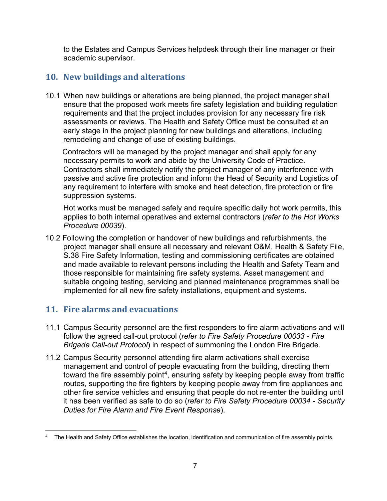to the Estates and Campus Services helpdesk through their line manager or their academic supervisor.

# <span id="page-7-0"></span>**10. New buildings and alterations**

10.1 When new buildings or alterations are being planned, the project manager shall ensure that the proposed work meets fire safety legislation and building regulation requirements and that the project includes provision for any necessary fire risk assessments or reviews. The Health and Safety Office must be consulted at an early stage in the project planning for new buildings and alterations, including remodeling and change of use of existing buildings.

 Contractors will be managed by the project manager and shall apply for any necessary permits to work and abide by the University Code of Practice. Contractors shall immediately notify the project manager of any interference with passive and active fire protection and inform the Head of Security and Logistics of any requirement to interfere with smoke and heat detection, fire protection or fire suppression systems.

Hot works must be managed safely and require specific daily hot work permits, this applies to both internal operatives and external contractors (*refer to the Hot Works Procedure 00039*).

10.2 Following the completion or handover of new buildings and refurbishments, the project manager shall ensure all necessary and relevant O&M, Health & Safety File, S.38 Fire Safety Information, testing and commissioning certificates are obtained and made available to relevant persons including the Health and Safety Team and those responsible for maintaining fire safety systems. Asset management and suitable ongoing testing, servicing and planned maintenance programmes shall be implemented for all new fire safety installations, equipment and systems.

# <span id="page-7-1"></span>**11. Fire alarms and evacuations**

- 11.1 Campus Security personnel are the first responders to fire alarm activations and will follow the agreed call-out protocol (*refer to Fire Safety Procedure 00033 - Fire Brigade Call-out Protocol*) in respect of summoning the London Fire Brigade.
- 11.2 Campus Security personnel attending fire alarm activations shall exercise management and control of people evacuating from the building, directing them toward the fire assembly point<sup>4</sup>, ensuring safety by keeping people away from traffic routes, supporting the fire fighters by keeping people away from fire appliances and other fire service vehicles and ensuring that people do not re-enter the building until it has been verified as safe to do so (*refer to Fire Safety Procedure 00034 - Security Duties for Fire Alarm and Fire Event Response*).

<span id="page-7-2"></span><sup>&</sup>lt;sup>4</sup> The Health and Safety Office establishes the location, identification and communication of fire assembly points.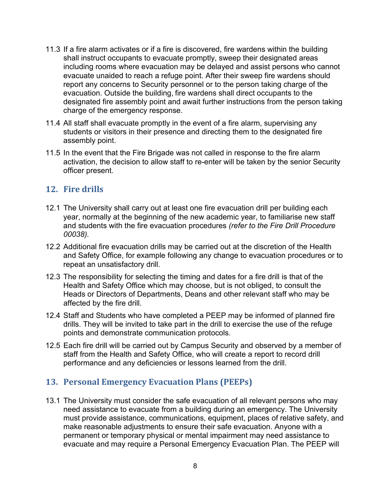- 11.3 If a fire alarm activates or if a fire is discovered, fire wardens within the building shall instruct occupants to evacuate promptly, sweep their designated areas including rooms where evacuation may be delayed and assist persons who cannot evacuate unaided to reach a refuge point. After their sweep fire wardens should report any concerns to Security personnel or to the person taking charge of the evacuation. Outside the building, fire wardens shall direct occupants to the designated fire assembly point and await further instructions from the person taking charge of the emergency response.
- 11.4 All staff shall evacuate promptly in the event of a fire alarm, supervising any students or visitors in their presence and directing them to the designated fire assembly point.
- 11.5 In the event that the Fire Brigade was not called in response to the fire alarm activation, the decision to allow staff to re-enter will be taken by the senior Security officer present.

#### <span id="page-8-0"></span>**12. Fire drills**

- 12.1 The University shall carry out at least one fire evacuation drill per building each year, normally at the beginning of the new academic year, to familiarise new staff and students with the fire evacuation procedures *(refer to the Fire Drill Procedure 00038).*
- 12.2 Additional fire evacuation drills may be carried out at the discretion of the Health and Safety Office, for example following any change to evacuation procedures or to repeat an unsatisfactory drill.
- 12.3 The responsibility for selecting the timing and dates for a fire drill is that of the Health and Safety Office which may choose, but is not obliged, to consult the Heads or Directors of Departments, Deans and other relevant staff who may be affected by the fire drill.
- 12.4 Staff and Students who have completed a PEEP may be informed of planned fire drills. They will be invited to take part in the drill to exercise the use of the refuge points and demonstrate communication protocols.
- 12.5 Each fire drill will be carried out by Campus Security and observed by a member of staff from the Health and Safety Office, who will create a report to record drill performance and any deficiencies or lessons learned from the drill.

# <span id="page-8-1"></span>**13. Personal Emergency Evacuation Plans (PEEPs)**

13.1 The University must consider the safe evacuation of all relevant persons who may need assistance to evacuate from a building during an emergency. The University must provide assistance, communications, equipment, places of relative safety, and make reasonable adjustments to ensure their safe evacuation. Anyone with a permanent or temporary physical or mental impairment may need assistance to evacuate and may require a Personal Emergency Evacuation Plan. The PEEP will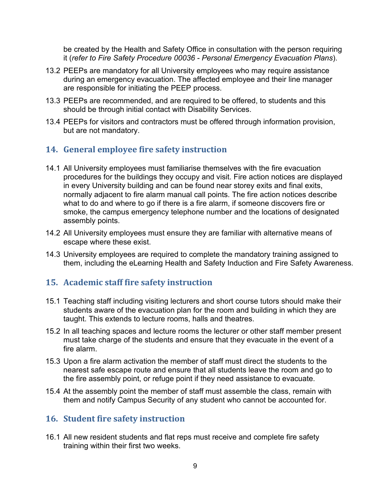be created by the Health and Safety Office in consultation with the person requiring it (*refer to Fire Safety Procedure 00036 - Personal Emergency Evacuation Plans*).

- 13.2 PEEPs are mandatory for all University employees who may require assistance during an emergency evacuation. The affected employee and their line manager are responsible for initiating the PEEP process.
- 13.3 PEEPs are recommended, and are required to be offered, to students and this should be through initial contact with Disability Services.
- 13.4 PEEPs for visitors and contractors must be offered through information provision, but are not mandatory.

# <span id="page-9-0"></span>**14. General employee fire safety instruction**

- 14.1 All University employees must familiarise themselves with the fire evacuation procedures for the buildings they occupy and visit. Fire action notices are displayed in every University building and can be found near storey exits and final exits, normally adjacent to fire alarm manual call points. The fire action notices describe what to do and where to go if there is a fire alarm, if someone discovers fire or smoke, the campus emergency telephone number and the locations of designated assembly points.
- 14.2 All University employees must ensure they are familiar with alternative means of escape where these exist.
- 14.3 University employees are required to complete the mandatory training assigned to them, including the eLearning Health and Safety Induction and Fire Safety Awareness.

# <span id="page-9-1"></span>**15. Academic staff fire safety instruction**

- 15.1 Teaching staff including visiting lecturers and short course tutors should make their students aware of the evacuation plan for the room and building in which they are taught. This extends to lecture rooms, halls and theatres.
- 15.2 In all teaching spaces and lecture rooms the lecturer or other staff member present must take charge of the students and ensure that they evacuate in the event of a fire alarm.
- 15.3 Upon a fire alarm activation the member of staff must direct the students to the nearest safe escape route and ensure that all students leave the room and go to the fire assembly point, or refuge point if they need assistance to evacuate.
- 15.4 At the assembly point the member of staff must assemble the class, remain with them and notify Campus Security of any student who cannot be accounted for.

#### <span id="page-9-2"></span>**16. Student fire safety instruction**

16.1 All new resident students and flat reps must receive and complete fire safety training within their first two weeks.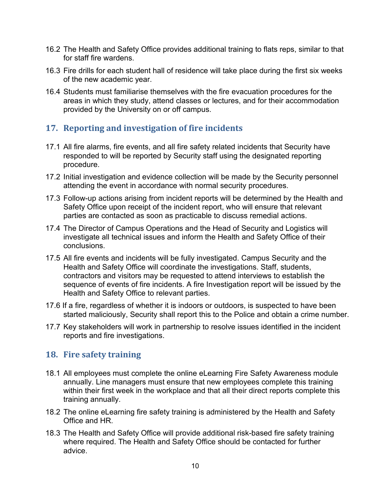- 16.2 The Health and Safety Office provides additional training to flats reps, similar to that for staff fire wardens.
- 16.3 Fire drills for each student hall of residence will take place during the first six weeks of the new academic year.
- 16.4 Students must familiarise themselves with the fire evacuation procedures for the areas in which they study, attend classes or lectures, and for their accommodation provided by the University on or off campus.

# <span id="page-10-0"></span>**17. Reporting and investigation of fire incidents**

- 17.1 All fire alarms, fire events, and all fire safety related incidents that Security have responded to will be reported by Security staff using the designated reporting procedure.
- 17.2 Initial investigation and evidence collection will be made by the Security personnel attending the event in accordance with normal security procedures.
- 17.3 Follow-up actions arising from incident reports will be determined by the Health and Safety Office upon receipt of the incident report, who will ensure that relevant parties are contacted as soon as practicable to discuss remedial actions.
- 17.4 The Director of Campus Operations and the Head of Security and Logistics will investigate all technical issues and inform the Health and Safety Office of their conclusions.
- 17.5 All fire events and incidents will be fully investigated. Campus Security and the Health and Safety Office will coordinate the investigations. Staff, students, contractors and visitors may be requested to attend interviews to establish the sequence of events of fire incidents. A fire Investigation report will be issued by the Health and Safety Office to relevant parties.
- 17.6 If a fire, regardless of whether it is indoors or outdoors, is suspected to have been started maliciously, Security shall report this to the Police and obtain a crime number.
- 17.7 Key stakeholders will work in partnership to resolve issues identified in the incident reports and fire investigations.

#### <span id="page-10-1"></span>**18. Fire safety training**

- 18.1 All employees must complete the online eLearning Fire Safety Awareness module annually. Line managers must ensure that new employees complete this training within their first week in the workplace and that all their direct reports complete this training annually.
- 18.2 The online eLearning fire safety training is administered by the Health and Safety Office and HR.
- 18.3 The Health and Safety Office will provide additional risk-based fire safety training where required. The Health and Safety Office should be contacted for further advice.